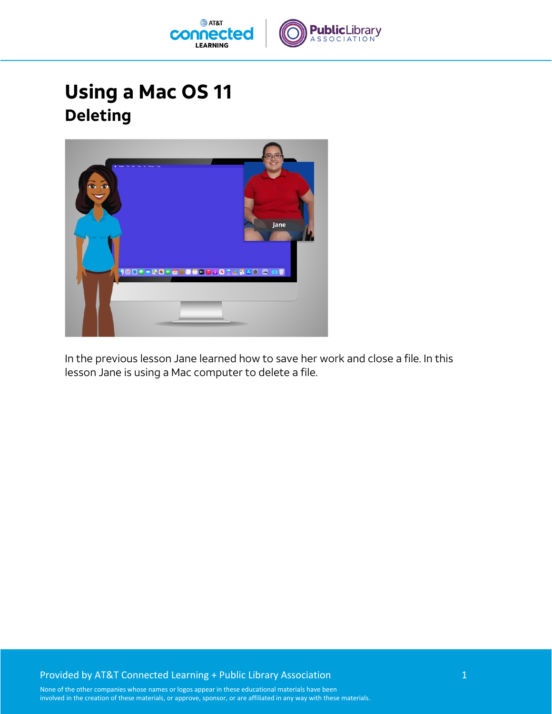

## **Using a Mac OS 11 Deleting**



In the previous lesson Jane learned how to save her work and close a file. In this lesson Jane is using a Mac computer to delete a file.

## Provided by AT&T Connected Learning + Public Library Association 1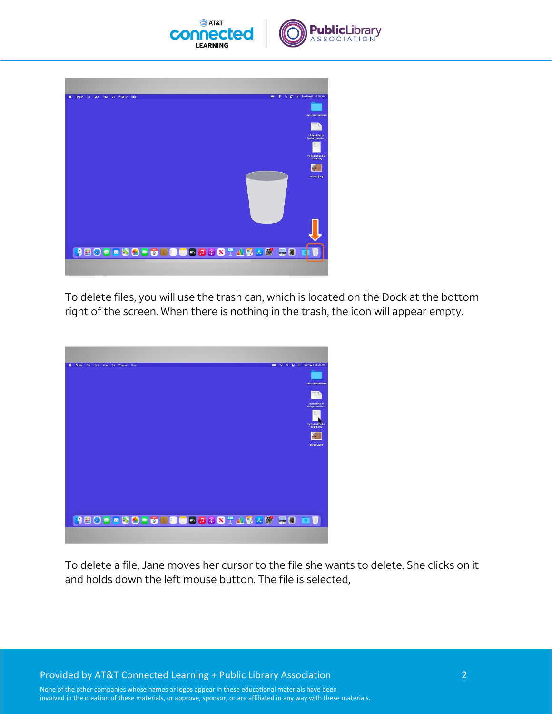



To delete files, you will use the trash can, which is located on the Dock at the bottom right of the screen. When there is nothing in the trash, the icon will appear empty.



To delete a file, Jane moves her cursor to the file she wants to delete. She clicks on it and holds down the left mouse button. The file is selected,

Provided by AT&T Connected Learning + Public Library Association 2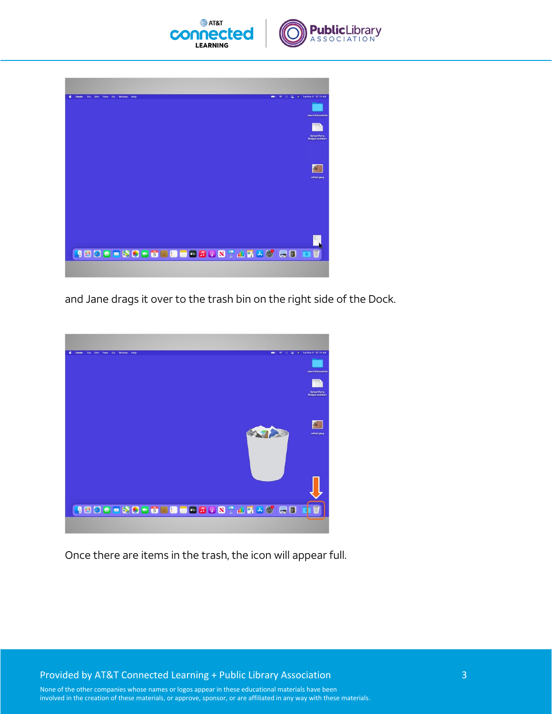



and Jane drags it over to the trash bin on the right side of the Dock.



Once there are items in the trash, the icon will appear full.

Provided by AT&T Connected Learning + Public Library Association 3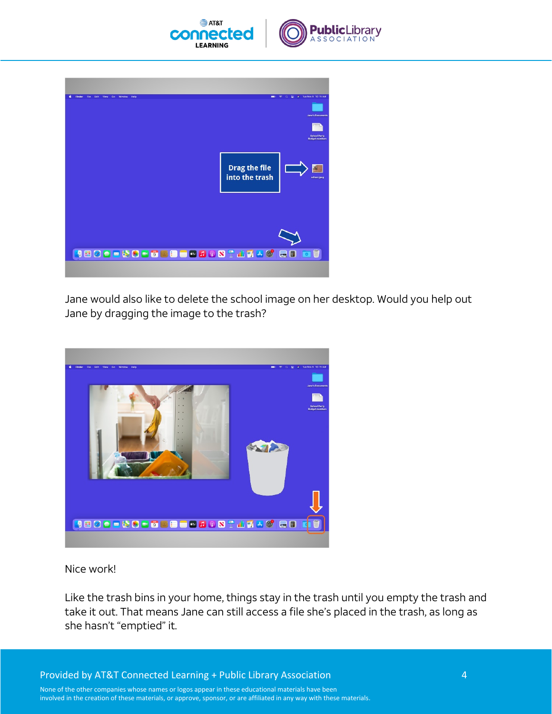



| 今 Q 星 # Tue Nov 9 10:15 AM<br>Edit View Go Window<br>Finder<br>File:<br>Help<br>$\blacksquare$ |
|------------------------------------------------------------------------------------------------|
|                                                                                                |
| <b>Jane's Documents</b>                                                                        |
|                                                                                                |
| <b>School Party</b><br><b>Budget, numbers</b>                                                  |
|                                                                                                |
|                                                                                                |
| <b>Drag the file</b>                                                                           |
| into the trash<br>school.jpeg                                                                  |
|                                                                                                |
|                                                                                                |
|                                                                                                |
|                                                                                                |
|                                                                                                |
|                                                                                                |
|                                                                                                |
|                                                                                                |
| <b>JEOOOOCOOOCEEQJQSTATAG RED</b><br>Ü                                                         |
|                                                                                                |
|                                                                                                |

Jane would also like to delete the school image on her desktop. Would you help out Jane by dragging the image to the trash?



Nice work!

Like the trash bins in your home, things stay in the trash until you empty the trash and take it out. That means Jane can still access a file she's placed in the trash, as long as she hasn't "emptied" it.

Provided by AT&T Connected Learning + Public Library Association 4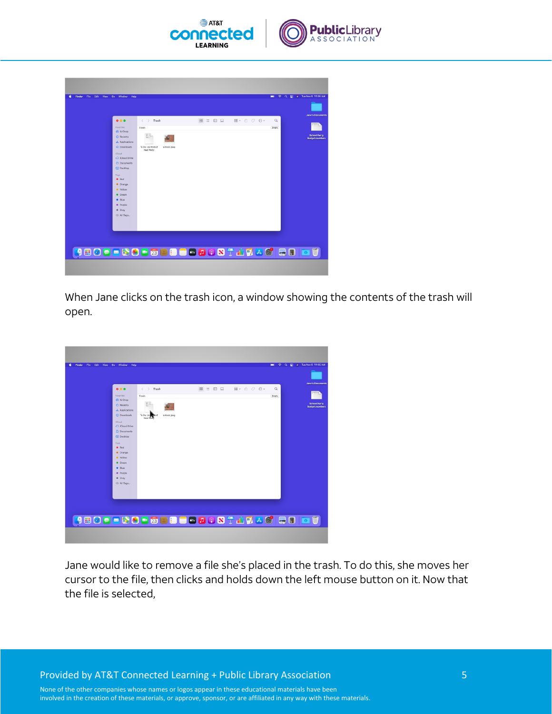



When Jane clicks on the trash icon, a window showing the contents of the trash will open.



Jane would like to remove a file she's placed in the trash. To do this, she moves her cursor to the file, then clicks and holds down the left mouse button on it. Now that the file is selected,

Provided by AT&T Connected Learning + Public Library Association 5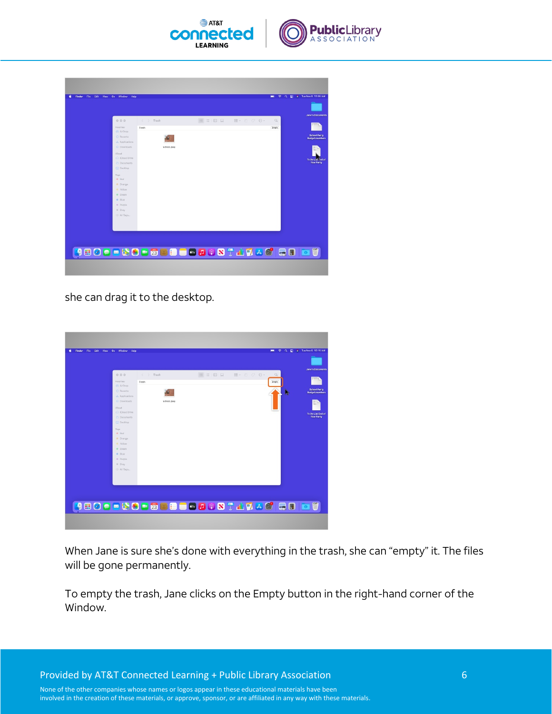



she can drag it to the desktop.

| Edit View<br>Go Window Help<br><b>Finder</b><br>File |             |                           |                                                   | $\hat{z}$<br>e<br>$\alpha$<br>$\blacksquare$ | # Tue Nov 9 10:15 AM                         |
|------------------------------------------------------|-------------|---------------------------|---------------------------------------------------|----------------------------------------------|----------------------------------------------|
|                                                      |             |                           |                                                   |                                              | <b>Jane's Documents</b>                      |
| 000                                                  | < > Trash   | <b>B</b> = 0 <del>Q</del> | $\overline{\mathbb{H}}$ . $\mathbb{O}$ $\Theta$ . | $\mathbb{Q}$                                 |                                              |
| Foyerites                                            | Trash       |                           |                                                   | Erreny                                       |                                              |
| <b>CV AirDrop</b>                                    |             |                           |                                                   |                                              |                                              |
| <b>C Recents</b>                                     |             |                           |                                                   | ш                                            | <b>School Party</b><br><b>Budget.numbers</b> |
| A Applications                                       |             |                           |                                                   |                                              |                                              |
| (4) Downloads                                        | school.ipeg |                           |                                                   |                                              |                                              |
| <b>i</b> Cloud                                       |             |                           |                                                   |                                              |                                              |
| C iCloud Drive                                       |             |                           |                                                   |                                              | To Do List End of                            |
| <b>D</b> Documents                                   |             |                           |                                                   |                                              | <b>Year Party</b>                            |
| Cal Desktop                                          |             |                           |                                                   |                                              |                                              |
| Tags                                                 |             |                           |                                                   |                                              |                                              |
| · Red                                                |             |                           |                                                   |                                              |                                              |
| Crange<br>Wilow                                      |             |                           |                                                   |                                              |                                              |
| · Green                                              |             |                           |                                                   |                                              |                                              |
| · Blue                                               |             |                           |                                                   |                                              |                                              |
| · Purple                                             |             |                           |                                                   |                                              |                                              |
| @ Gray                                               |             |                           |                                                   |                                              |                                              |
| Ci All Tags                                          |             |                           |                                                   |                                              |                                              |
|                                                      |             |                           |                                                   |                                              |                                              |
|                                                      |             |                           |                                                   |                                              |                                              |
|                                                      |             |                           |                                                   |                                              |                                              |
|                                                      |             |                           |                                                   |                                              |                                              |
|                                                      |             |                           |                                                   |                                              |                                              |
| <b>JEOOOSSOF&amp;CBEQDQSTADACIQB</b>                 |             |                           |                                                   |                                              |                                              |
|                                                      |             |                           |                                                   |                                              |                                              |
|                                                      |             |                           |                                                   |                                              |                                              |
|                                                      |             |                           |                                                   |                                              |                                              |

When Jane is sure she's done with everything in the trash, she can "empty" it. The files will be gone permanently.

To empty the trash, Jane clicks on the Empty button in the right-hand corner of the Window.

Provided by AT&T Connected Learning + Public Library Association 6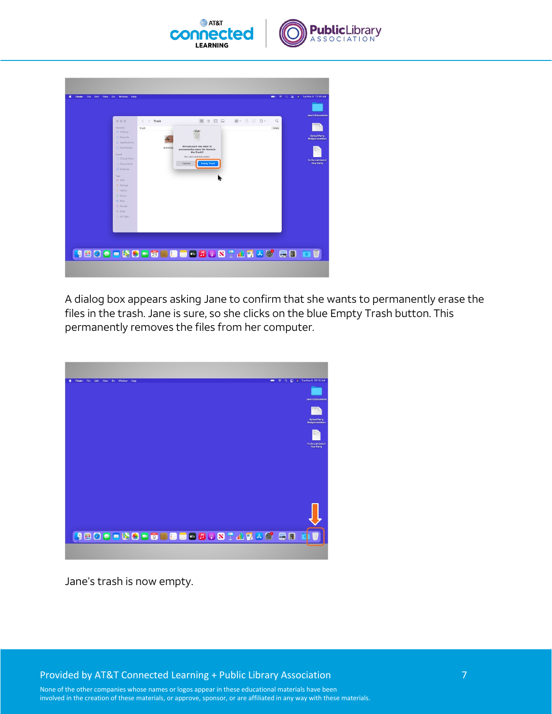



A dialog box appears asking Jane to confirm that she wants to permanently erase the files in the trash. Jane is sure, so she clicks on the blue Empty Trash button. This permanently removes the files from her computer.



Jane's trash is now empty.

Provided by AT&T Connected Learning + Public Library Association 7